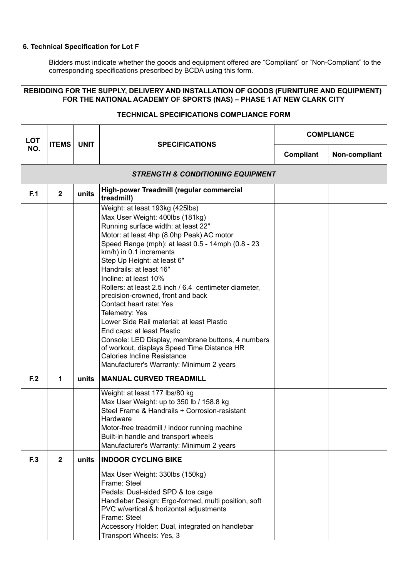| REBIDDING FOR THE SUPPLY, DELIVERY AND INSTALLATION OF GOODS (FURNITURE AND EQUIPMENT)<br>FOR THE NATIONAL ACADEMY OF SPORTS (NAS) - PHASE 1 AT NEW CLARK CITY |                                                 |             |                                                                                                                                                                                                                                                                                                                                                                                                                                                                                                                                                                                                                                                                                                                                        |                   |               |  |  |
|----------------------------------------------------------------------------------------------------------------------------------------------------------------|-------------------------------------------------|-------------|----------------------------------------------------------------------------------------------------------------------------------------------------------------------------------------------------------------------------------------------------------------------------------------------------------------------------------------------------------------------------------------------------------------------------------------------------------------------------------------------------------------------------------------------------------------------------------------------------------------------------------------------------------------------------------------------------------------------------------------|-------------------|---------------|--|--|
|                                                                                                                                                                | <b>TECHNICAL SPECIFICATIONS COMPLIANCE FORM</b> |             |                                                                                                                                                                                                                                                                                                                                                                                                                                                                                                                                                                                                                                                                                                                                        |                   |               |  |  |
| <b>LOT</b>                                                                                                                                                     | <b>ITEMS</b>                                    | <b>UNIT</b> |                                                                                                                                                                                                                                                                                                                                                                                                                                                                                                                                                                                                                                                                                                                                        | <b>COMPLIANCE</b> |               |  |  |
| NO.                                                                                                                                                            |                                                 |             | <b>SPECIFICATIONS</b>                                                                                                                                                                                                                                                                                                                                                                                                                                                                                                                                                                                                                                                                                                                  | Compliant         | Non-compliant |  |  |
|                                                                                                                                                                |                                                 |             | <b>STRENGTH &amp; CONDITIONING EQUIPMENT</b>                                                                                                                                                                                                                                                                                                                                                                                                                                                                                                                                                                                                                                                                                           |                   |               |  |  |
| F.1                                                                                                                                                            | $\mathbf{2}$                                    | units       | High-power Treadmill (regular commercial<br>treadmill)                                                                                                                                                                                                                                                                                                                                                                                                                                                                                                                                                                                                                                                                                 |                   |               |  |  |
|                                                                                                                                                                |                                                 |             | Weight: at least 193kg (425lbs)<br>Max User Weight: 400lbs (181kg)<br>Running surface width: at least 22"<br>Motor: at least 4hp (8.0hp Peak) AC motor<br>Speed Range (mph): at least 0.5 - 14mph (0.8 - 23<br>km/h) in 0.1 increments<br>Step Up Height: at least 6"<br>Handrails: at least 16"<br>Incline: at least 10%<br>Rollers: at least 2.5 inch / 6.4 centimeter diameter,<br>precision-crowned, front and back<br>Contact heart rate: Yes<br>Telemetry: Yes<br>Lower Side Rail material: at least Plastic<br>End caps: at least Plastic<br>Console: LED Display, membrane buttons, 4 numbers<br>of workout, displays Speed Time Distance HR<br><b>Calories Incline Resistance</b><br>Manufacturer's Warranty: Minimum 2 years |                   |               |  |  |
| F.2                                                                                                                                                            | 1                                               | units       | <b>MANUAL CURVED TREADMILL</b>                                                                                                                                                                                                                                                                                                                                                                                                                                                                                                                                                                                                                                                                                                         |                   |               |  |  |
|                                                                                                                                                                |                                                 |             | Weight: at least 177 lbs/80 kg<br>Max User Weight: up to 350 lb / 158.8 kg<br>Steel Frame & Handrails + Corrosion-resistant<br>Hardware<br>Motor-free treadmill / indoor running machine<br>Built-in handle and transport wheels<br>Manufacturer's Warranty: Minimum 2 years                                                                                                                                                                                                                                                                                                                                                                                                                                                           |                   |               |  |  |
| F.3                                                                                                                                                            | $\overline{2}$                                  | units       | <b>INDOOR CYCLING BIKE</b>                                                                                                                                                                                                                                                                                                                                                                                                                                                                                                                                                                                                                                                                                                             |                   |               |  |  |
|                                                                                                                                                                |                                                 |             | Max User Weight: 330lbs (150kg)<br>Frame: Steel<br>Pedals: Dual-sided SPD & toe cage<br>Handlebar Design: Ergo-formed, multi position, soft<br>PVC w/vertical & horizontal adjustments<br>Frame: Steel<br>Accessory Holder: Dual, integrated on handlebar<br>Transport Wheels: Yes, 3                                                                                                                                                                                                                                                                                                                                                                                                                                                  |                   |               |  |  |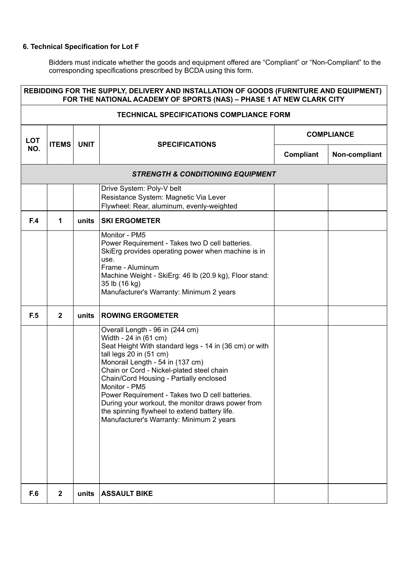| REBIDDING FOR THE SUPPLY, DELIVERY AND INSTALLATION OF GOODS (FURNITURE AND EQUIPMENT)<br>FOR THE NATIONAL ACADEMY OF SPORTS (NAS) - PHASE 1 AT NEW CLARK CITY |              |             |                                                                                                                                                                                                                                                                                                                                                                                                                                                                                                 |                   |               |  |  |
|----------------------------------------------------------------------------------------------------------------------------------------------------------------|--------------|-------------|-------------------------------------------------------------------------------------------------------------------------------------------------------------------------------------------------------------------------------------------------------------------------------------------------------------------------------------------------------------------------------------------------------------------------------------------------------------------------------------------------|-------------------|---------------|--|--|
| <b>TECHNICAL SPECIFICATIONS COMPLIANCE FORM</b>                                                                                                                |              |             |                                                                                                                                                                                                                                                                                                                                                                                                                                                                                                 |                   |               |  |  |
| <b>LOT</b>                                                                                                                                                     | <b>ITEMS</b> | <b>UNIT</b> |                                                                                                                                                                                                                                                                                                                                                                                                                                                                                                 | <b>COMPLIANCE</b> |               |  |  |
| NO.                                                                                                                                                            |              |             | <b>SPECIFICATIONS</b>                                                                                                                                                                                                                                                                                                                                                                                                                                                                           | Compliant         | Non-compliant |  |  |
|                                                                                                                                                                |              |             | <b>STRENGTH &amp; CONDITIONING EQUIPMENT</b>                                                                                                                                                                                                                                                                                                                                                                                                                                                    |                   |               |  |  |
|                                                                                                                                                                |              |             | Drive System: Poly-V belt<br>Resistance System: Magnetic Via Lever<br>Flywheel: Rear, aluminum, evenly-weighted                                                                                                                                                                                                                                                                                                                                                                                 |                   |               |  |  |
| F.4                                                                                                                                                            | 1            | units       | <b>SKI ERGOMETER</b>                                                                                                                                                                                                                                                                                                                                                                                                                                                                            |                   |               |  |  |
|                                                                                                                                                                |              |             | Monitor - PM5<br>Power Requirement - Takes two D cell batteries.<br>SkiErg provides operating power when machine is in<br>use.<br>Frame - Aluminum<br>Machine Weight - SkiErg: 46 lb (20.9 kg), Floor stand:<br>35 lb (16 kg)<br>Manufacturer's Warranty: Minimum 2 years                                                                                                                                                                                                                       |                   |               |  |  |
| F.5                                                                                                                                                            | $\mathbf{2}$ | units       | <b>ROWING ERGOMETER</b>                                                                                                                                                                                                                                                                                                                                                                                                                                                                         |                   |               |  |  |
|                                                                                                                                                                |              |             | Overall Length - 96 in (244 cm)<br>Width - 24 in (61 cm)<br>Seat Height With standard legs - 14 in (36 cm) or with<br>tall legs 20 in (51 cm)<br>Monorail Length - 54 in (137 cm)<br>Chain or Cord - Nickel-plated steel chain<br>Chain/Cord Housing - Partially enclosed<br>Monitor - PM5<br>Power Requirement - Takes two D cell batteries.<br>During your workout, the monitor draws power from<br>the spinning flywheel to extend battery life.<br>Manufacturer's Warranty: Minimum 2 years |                   |               |  |  |
| F.6                                                                                                                                                            | $\mathbf{2}$ | units       | <b>ASSAULT BIKE</b>                                                                                                                                                                                                                                                                                                                                                                                                                                                                             |                   |               |  |  |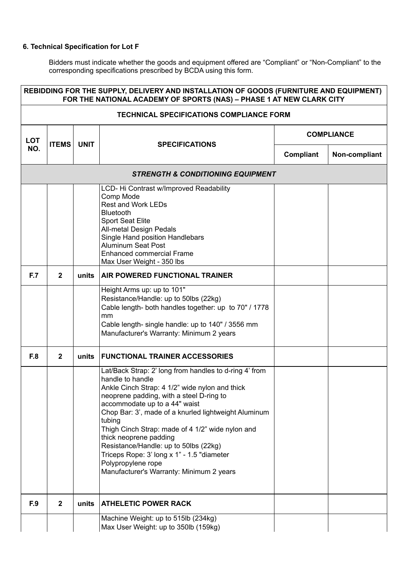| REBIDDING FOR THE SUPPLY, DELIVERY AND INSTALLATION OF GOODS (FURNITURE AND EQUIPMENT)<br>FOR THE NATIONAL ACADEMY OF SPORTS (NAS) - PHASE 1 AT NEW CLARK CITY |                |             |                                                                                                                                                                                                                                                                                                                                                                                                                                                                                                                    |                   |               |  |
|----------------------------------------------------------------------------------------------------------------------------------------------------------------|----------------|-------------|--------------------------------------------------------------------------------------------------------------------------------------------------------------------------------------------------------------------------------------------------------------------------------------------------------------------------------------------------------------------------------------------------------------------------------------------------------------------------------------------------------------------|-------------------|---------------|--|
|                                                                                                                                                                |                |             | <b>TECHNICAL SPECIFICATIONS COMPLIANCE FORM</b>                                                                                                                                                                                                                                                                                                                                                                                                                                                                    |                   |               |  |
| <b>LOT</b>                                                                                                                                                     | <b>ITEMS</b>   | <b>UNIT</b> |                                                                                                                                                                                                                                                                                                                                                                                                                                                                                                                    | <b>COMPLIANCE</b> |               |  |
| NO.                                                                                                                                                            |                |             | <b>SPECIFICATIONS</b>                                                                                                                                                                                                                                                                                                                                                                                                                                                                                              | Compliant         | Non-compliant |  |
|                                                                                                                                                                |                |             | <b>STRENGTH &amp; CONDITIONING EQUIPMENT</b>                                                                                                                                                                                                                                                                                                                                                                                                                                                                       |                   |               |  |
|                                                                                                                                                                |                |             | LCD- Hi Contrast w/Improved Readability<br>Comp Mode<br><b>Rest and Work LEDs</b><br><b>Bluetooth</b><br><b>Sport Seat Elite</b><br>All-metal Design Pedals<br>Single Hand position Handlebars<br><b>Aluminum Seat Post</b><br><b>Enhanced commercial Frame</b><br>Max User Weight - 350 lbs                                                                                                                                                                                                                       |                   |               |  |
| <b>F.7</b>                                                                                                                                                     | $\mathbf{2}$   | units       | <b>AIR POWERED FUNCTIONAL TRAINER</b>                                                                                                                                                                                                                                                                                                                                                                                                                                                                              |                   |               |  |
|                                                                                                                                                                |                |             | Height Arms up: up to 101"<br>Resistance/Handle: up to 50lbs (22kg)<br>Cable length- both handles together: up to 70" / 1778<br>mm<br>Cable length- single handle: up to 140" / 3556 mm<br>Manufacturer's Warranty: Minimum 2 years                                                                                                                                                                                                                                                                                |                   |               |  |
| F.8                                                                                                                                                            | $\overline{2}$ | units       | <b>FUNCTIONAL TRAINER ACCESSORIES</b>                                                                                                                                                                                                                                                                                                                                                                                                                                                                              |                   |               |  |
|                                                                                                                                                                |                |             | Lat/Back Strap: 2' long from handles to d-ring 4' from<br>handle to handle<br>Ankle Cinch Strap: 4 1/2" wide nylon and thick<br>neoprene padding, with a steel D-ring to<br>accommodate up to a 44" waist<br>Chop Bar: 3', made of a knurled lightweight Aluminum<br>tubing<br>Thigh Cinch Strap: made of 4 1/2" wide nylon and<br>thick neoprene padding<br>Resistance/Handle: up to 50lbs (22kg)<br>Triceps Rope: 3' long x 1" - 1.5 "diameter<br>Polypropylene rope<br>Manufacturer's Warranty: Minimum 2 years |                   |               |  |
| F.9                                                                                                                                                            | $\mathbf{2}$   | units       | <b>ATHELETIC POWER RACK</b>                                                                                                                                                                                                                                                                                                                                                                                                                                                                                        |                   |               |  |
|                                                                                                                                                                |                |             | Machine Weight: up to 515lb (234kg)<br>Max User Weight: up to 350lb (159kg)                                                                                                                                                                                                                                                                                                                                                                                                                                        |                   |               |  |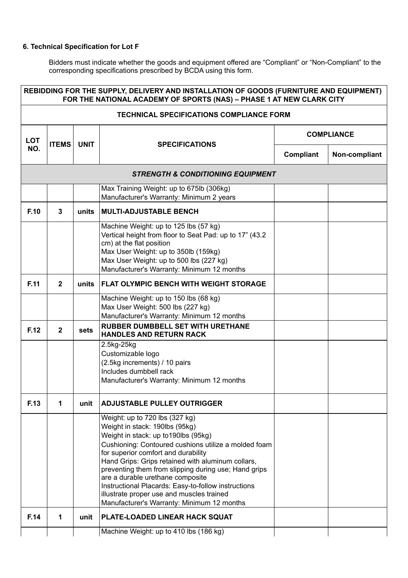| REBIDDING FOR THE SUPPLY, DELIVERY AND INSTALLATION OF GOODS (FURNITURE AND EQUIPMENT)<br>FOR THE NATIONAL ACADEMY OF SPORTS (NAS) - PHASE 1 AT NEW CLARK CITY |              |             |                                                                                                                                                                                                                                                                                                                                                                                                                                                                                                            |                   |               |
|----------------------------------------------------------------------------------------------------------------------------------------------------------------|--------------|-------------|------------------------------------------------------------------------------------------------------------------------------------------------------------------------------------------------------------------------------------------------------------------------------------------------------------------------------------------------------------------------------------------------------------------------------------------------------------------------------------------------------------|-------------------|---------------|
|                                                                                                                                                                |              |             | <b>TECHNICAL SPECIFICATIONS COMPLIANCE FORM</b>                                                                                                                                                                                                                                                                                                                                                                                                                                                            |                   |               |
| <b>LOT</b>                                                                                                                                                     | <b>ITEMS</b> | <b>UNIT</b> |                                                                                                                                                                                                                                                                                                                                                                                                                                                                                                            | <b>COMPLIANCE</b> |               |
| NO.                                                                                                                                                            |              |             | <b>SPECIFICATIONS</b>                                                                                                                                                                                                                                                                                                                                                                                                                                                                                      | Compliant         | Non-compliant |
|                                                                                                                                                                |              |             | <b>STRENGTH &amp; CONDITIONING EQUIPMENT</b>                                                                                                                                                                                                                                                                                                                                                                                                                                                               |                   |               |
|                                                                                                                                                                |              |             | Max Training Weight: up to 675lb (306kg)<br>Manufacturer's Warranty: Minimum 2 years                                                                                                                                                                                                                                                                                                                                                                                                                       |                   |               |
| F.10                                                                                                                                                           | $\mathbf{3}$ | units       | <b>MULTI-ADJUSTABLE BENCH</b>                                                                                                                                                                                                                                                                                                                                                                                                                                                                              |                   |               |
|                                                                                                                                                                |              |             | Machine Weight: up to 125 lbs (57 kg)<br>Vertical height from floor to Seat Pad: up to 17" (43.2)<br>cm) at the flat position<br>Max User Weight: up to 350lb (159kg)<br>Max User Weight: up to 500 lbs (227 kg)<br>Manufacturer's Warranty: Minimum 12 months                                                                                                                                                                                                                                             |                   |               |
| F.11                                                                                                                                                           | $\mathbf{2}$ | units       | <b>FLAT OLYMPIC BENCH WITH WEIGHT STORAGE</b>                                                                                                                                                                                                                                                                                                                                                                                                                                                              |                   |               |
|                                                                                                                                                                |              |             | Machine Weight: up to 150 lbs (68 kg)<br>Max User Weight: 500 lbs (227 kg)<br>Manufacturer's Warranty: Minimum 12 months                                                                                                                                                                                                                                                                                                                                                                                   |                   |               |
| F.12                                                                                                                                                           | $\mathbf{2}$ | sets        | <b>RUBBER DUMBBELL SET WITH URETHANE</b><br><b>HANDLES AND RETURN RACK</b>                                                                                                                                                                                                                                                                                                                                                                                                                                 |                   |               |
|                                                                                                                                                                |              |             | 2.5kg-25kg<br>Customizable logo<br>(2.5kg increments) / 10 pairs<br>Includes dumbbell rack<br>Manufacturer's Warranty: Minimum 12 months                                                                                                                                                                                                                                                                                                                                                                   |                   |               |
| F.13                                                                                                                                                           | 1            | unit        | <b>ADJUSTABLE PULLEY OUTRIGGER</b>                                                                                                                                                                                                                                                                                                                                                                                                                                                                         |                   |               |
|                                                                                                                                                                |              |             | Weight: up to 720 lbs (327 kg)<br>Weight in stack: 190lbs (95kg)<br>Weight in stack: up to 190lbs (95kg)<br>Cushioning: Contoured cushions utilize a molded foam<br>for superior comfort and durability<br>Hand Grips: Grips retained with aluminum collars,<br>preventing them from slipping during use; Hand grips<br>are a durable urethane composite<br>Instructional Placards: Easy-to-follow instructions<br>illustrate proper use and muscles trained<br>Manufacturer's Warranty: Minimum 12 months |                   |               |
| F.14                                                                                                                                                           | 1            | unit        | PLATE-LOADED LINEAR HACK SQUAT                                                                                                                                                                                                                                                                                                                                                                                                                                                                             |                   |               |
|                                                                                                                                                                |              |             | Machine Weight: up to 410 lbs (186 kg)                                                                                                                                                                                                                                                                                                                                                                                                                                                                     |                   |               |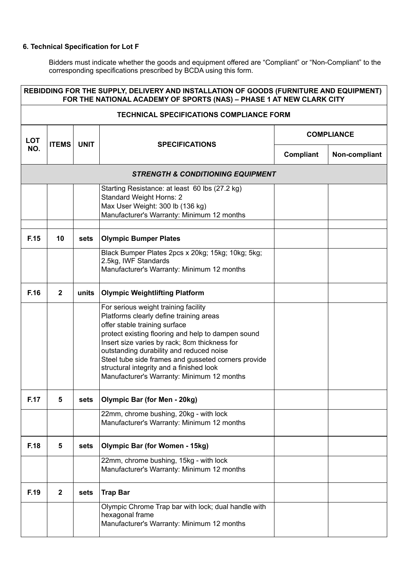| REBIDDING FOR THE SUPPLY, DELIVERY AND INSTALLATION OF GOODS (FURNITURE AND EQUIPMENT)<br>FOR THE NATIONAL ACADEMY OF SPORTS (NAS) - PHASE 1 AT NEW CLARK CITY |                |             |                                                                                                                                                                                                                                                                                                                                                                                                                      |                   |               |  |
|----------------------------------------------------------------------------------------------------------------------------------------------------------------|----------------|-------------|----------------------------------------------------------------------------------------------------------------------------------------------------------------------------------------------------------------------------------------------------------------------------------------------------------------------------------------------------------------------------------------------------------------------|-------------------|---------------|--|
| <b>TECHNICAL SPECIFICATIONS COMPLIANCE FORM</b>                                                                                                                |                |             |                                                                                                                                                                                                                                                                                                                                                                                                                      |                   |               |  |
| <b>LOT</b>                                                                                                                                                     | <b>ITEMS</b>   | <b>UNIT</b> |                                                                                                                                                                                                                                                                                                                                                                                                                      | <b>COMPLIANCE</b> |               |  |
| NO.                                                                                                                                                            |                |             | <b>SPECIFICATIONS</b>                                                                                                                                                                                                                                                                                                                                                                                                | Compliant         | Non-compliant |  |
|                                                                                                                                                                |                |             | <b>STRENGTH &amp; CONDITIONING EQUIPMENT</b>                                                                                                                                                                                                                                                                                                                                                                         |                   |               |  |
|                                                                                                                                                                |                |             | Starting Resistance: at least 60 lbs (27.2 kg)<br><b>Standard Weight Horns: 2</b><br>Max User Weight: 300 lb (136 kg)<br>Manufacturer's Warranty: Minimum 12 months                                                                                                                                                                                                                                                  |                   |               |  |
| F.15                                                                                                                                                           | 10             | sets        | <b>Olympic Bumper Plates</b>                                                                                                                                                                                                                                                                                                                                                                                         |                   |               |  |
|                                                                                                                                                                |                |             | Black Bumper Plates 2pcs x 20kg; 15kg; 10kg; 5kg;<br>2.5kg, IWF Standards<br>Manufacturer's Warranty: Minimum 12 months                                                                                                                                                                                                                                                                                              |                   |               |  |
| F.16                                                                                                                                                           | $\mathbf{2}$   | units       | <b>Olympic Weightlifting Platform</b>                                                                                                                                                                                                                                                                                                                                                                                |                   |               |  |
|                                                                                                                                                                |                |             | For serious weight training facility<br>Platforms clearly define training areas<br>offer stable training surface<br>protect existing flooring and help to dampen sound<br>Insert size varies by rack; 8cm thickness for<br>outstanding durability and reduced noise<br>Steel tube side frames and gusseted corners provide<br>structural integrity and a finished look<br>Manufacturer's Warranty: Minimum 12 months |                   |               |  |
| F.17                                                                                                                                                           | 5              | sets        | <b>Olympic Bar (for Men - 20kg)</b>                                                                                                                                                                                                                                                                                                                                                                                  |                   |               |  |
|                                                                                                                                                                |                |             | 22mm, chrome bushing, 20kg - with lock<br>Manufacturer's Warranty: Minimum 12 months                                                                                                                                                                                                                                                                                                                                 |                   |               |  |
| F.18                                                                                                                                                           | 5              | sets        | <b>Olympic Bar (for Women - 15kg)</b>                                                                                                                                                                                                                                                                                                                                                                                |                   |               |  |
|                                                                                                                                                                |                |             | 22mm, chrome bushing, 15kg - with lock<br>Manufacturer's Warranty: Minimum 12 months                                                                                                                                                                                                                                                                                                                                 |                   |               |  |
| F.19                                                                                                                                                           | $\overline{2}$ | sets        | <b>Trap Bar</b>                                                                                                                                                                                                                                                                                                                                                                                                      |                   |               |  |
|                                                                                                                                                                |                |             | Olympic Chrome Trap bar with lock; dual handle with<br>hexagonal frame<br>Manufacturer's Warranty: Minimum 12 months                                                                                                                                                                                                                                                                                                 |                   |               |  |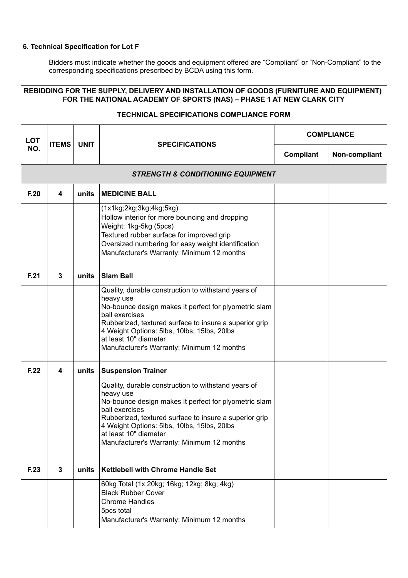| REBIDDING FOR THE SUPPLY, DELIVERY AND INSTALLATION OF GOODS (FURNITURE AND EQUIPMENT)<br>FOR THE NATIONAL ACADEMY OF SPORTS (NAS) - PHASE 1 AT NEW CLARK CITY |              |             |                                                                                                                                                                                                                                                                                                                             |                   |               |  |
|----------------------------------------------------------------------------------------------------------------------------------------------------------------|--------------|-------------|-----------------------------------------------------------------------------------------------------------------------------------------------------------------------------------------------------------------------------------------------------------------------------------------------------------------------------|-------------------|---------------|--|
| <b>TECHNICAL SPECIFICATIONS COMPLIANCE FORM</b>                                                                                                                |              |             |                                                                                                                                                                                                                                                                                                                             |                   |               |  |
| <b>LOT</b>                                                                                                                                                     | <b>ITEMS</b> | <b>UNIT</b> |                                                                                                                                                                                                                                                                                                                             | <b>COMPLIANCE</b> |               |  |
| NO.                                                                                                                                                            |              |             | <b>SPECIFICATIONS</b>                                                                                                                                                                                                                                                                                                       | Compliant         | Non-compliant |  |
|                                                                                                                                                                |              |             | <b>STRENGTH &amp; CONDITIONING EQUIPMENT</b>                                                                                                                                                                                                                                                                                |                   |               |  |
| F.20                                                                                                                                                           | 4            | units       | <b>MEDICINE BALL</b>                                                                                                                                                                                                                                                                                                        |                   |               |  |
|                                                                                                                                                                |              |             | (1x1kg;2kg;3kg;4kg;5kg)<br>Hollow interior for more bouncing and dropping<br>Weight: 1kg-5kg (5pcs)<br>Textured rubber surface for improved grip<br>Oversized numbering for easy weight identification<br>Manufacturer's Warranty: Minimum 12 months                                                                        |                   |               |  |
| F.21                                                                                                                                                           | 3            | units       | <b>Slam Ball</b>                                                                                                                                                                                                                                                                                                            |                   |               |  |
|                                                                                                                                                                |              |             | Quality, durable construction to withstand years of<br>heavy use<br>No-bounce design makes it perfect for plyometric slam<br>ball exercises<br>Rubberized, textured surface to insure a superior grip<br>4 Weight Options: 5lbs, 10lbs, 15lbs, 20lbs<br>at least 10" diameter<br>Manufacturer's Warranty: Minimum 12 months |                   |               |  |
| F.22                                                                                                                                                           | 4            | units       | <b>Suspension Trainer</b>                                                                                                                                                                                                                                                                                                   |                   |               |  |
|                                                                                                                                                                |              |             | Quality, durable construction to withstand years of<br>heavy use<br>No-bounce design makes it perfect for plyometric slam<br>ball exercises<br>Rubberized, textured surface to insure a superior grip<br>4 Weight Options: 5lbs, 10lbs, 15lbs, 20lbs<br>at least 10" diameter<br>Manufacturer's Warranty: Minimum 12 months |                   |               |  |
| F.23                                                                                                                                                           | 3            | units       | <b>Kettlebell with Chrome Handle Set</b>                                                                                                                                                                                                                                                                                    |                   |               |  |
|                                                                                                                                                                |              |             | 60kg Total (1x 20kg; 16kg; 12kg; 8kg; 4kg)<br><b>Black Rubber Cover</b><br><b>Chrome Handles</b><br>5pcs total<br>Manufacturer's Warranty: Minimum 12 months                                                                                                                                                                |                   |               |  |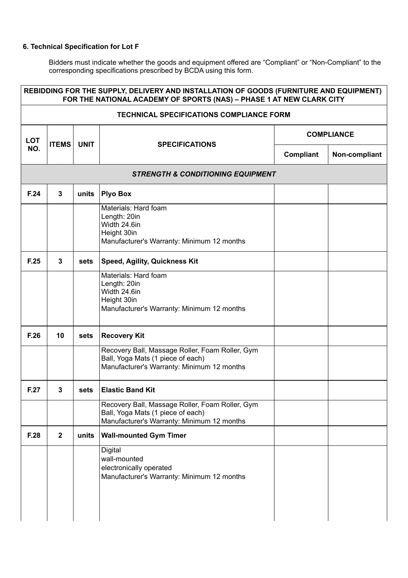| REBIDDING FOR THE SUPPLY, DELIVERY AND INSTALLATION OF GOODS (FURNITURE AND EQUIPMENT)<br>FOR THE NATIONAL ACADEMY OF SPORTS (NAS) - PHASE 1 AT NEW CLARK CITY |                                                 |             |                                                                                                                                    |                   |               |  |  |
|----------------------------------------------------------------------------------------------------------------------------------------------------------------|-------------------------------------------------|-------------|------------------------------------------------------------------------------------------------------------------------------------|-------------------|---------------|--|--|
|                                                                                                                                                                | <b>TECHNICAL SPECIFICATIONS COMPLIANCE FORM</b> |             |                                                                                                                                    |                   |               |  |  |
| <b>LOT</b>                                                                                                                                                     | <b>ITEMS</b>                                    | <b>UNIT</b> |                                                                                                                                    | <b>COMPLIANCE</b> |               |  |  |
| NO.                                                                                                                                                            |                                                 |             | <b>SPECIFICATIONS</b>                                                                                                              | <b>Compliant</b>  | Non-compliant |  |  |
|                                                                                                                                                                |                                                 |             | <b>STRENGTH &amp; CONDITIONING EQUIPMENT</b>                                                                                       |                   |               |  |  |
| F.24                                                                                                                                                           | 3                                               | units       | <b>Plyo Box</b>                                                                                                                    |                   |               |  |  |
|                                                                                                                                                                |                                                 |             | Materials: Hard foam<br>Length: 20in<br>Width 24.6in<br>Height 30in<br>Manufacturer's Warranty: Minimum 12 months                  |                   |               |  |  |
| F.25                                                                                                                                                           | 3                                               | sets        | <b>Speed, Agility, Quickness Kit</b>                                                                                               |                   |               |  |  |
|                                                                                                                                                                |                                                 |             | Materials: Hard foam<br>Length: 20in<br>Width 24.6in<br>Height 30in<br>Manufacturer's Warranty: Minimum 12 months                  |                   |               |  |  |
| F.26                                                                                                                                                           | 10                                              | sets        | <b>Recovery Kit</b>                                                                                                                |                   |               |  |  |
|                                                                                                                                                                |                                                 |             | Recovery Ball, Massage Roller, Foam Roller, Gym<br>Ball, Yoga Mats (1 piece of each)<br>Manufacturer's Warranty: Minimum 12 months |                   |               |  |  |
| F.27                                                                                                                                                           | 3                                               | sets        | <b>Elastic Band Kit</b>                                                                                                            |                   |               |  |  |
|                                                                                                                                                                |                                                 |             | Recovery Ball, Massage Roller, Foam Roller, Gym<br>Ball, Yoga Mats (1 piece of each)<br>Manufacturer's Warranty: Minimum 12 months |                   |               |  |  |
| F.28                                                                                                                                                           | $\mathbf{2}$                                    | units       | <b>Wall-mounted Gym Timer</b>                                                                                                      |                   |               |  |  |
|                                                                                                                                                                |                                                 |             | Digital<br>wall-mounted<br>electronically operated<br>Manufacturer's Warranty: Minimum 12 months                                   |                   |               |  |  |